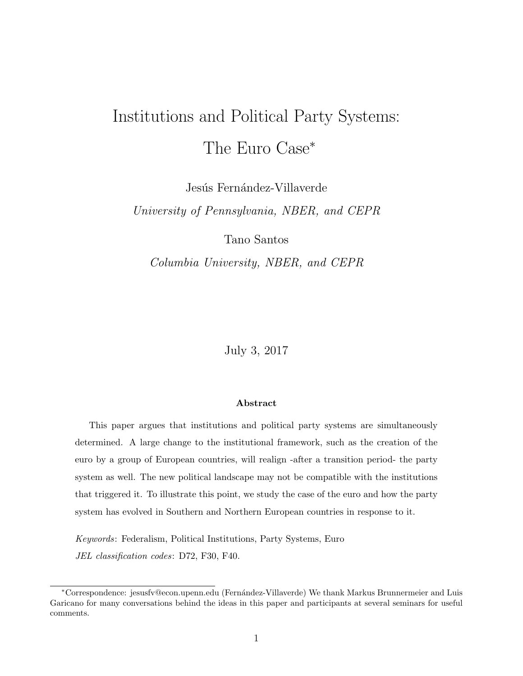# Institutions and Political Party Systems: The Euro Case<sup>∗</sup>

Jesús Fernández-Villaverde

University of Pennsylvania, NBER, and CEPR

Tano Santos

Columbia University, NBER, and CEPR

July 3, 2017

#### Abstract

This paper argues that institutions and political party systems are simultaneously determined. A large change to the institutional framework, such as the creation of the euro by a group of European countries, will realign -after a transition period- the party system as well. The new political landscape may not be compatible with the institutions that triggered it. To illustrate this point, we study the case of the euro and how the party system has evolved in Southern and Northern European countries in response to it.

Keywords: Federalism, Political Institutions, Party Systems, Euro JEL classification codes: D72, F30, F40.

<sup>∗</sup>Correspondence: jesusfv@econ.upenn.edu (Fern´andez-Villaverde) We thank Markus Brunnermeier and Luis Garicano for many conversations behind the ideas in this paper and participants at several seminars for useful comments.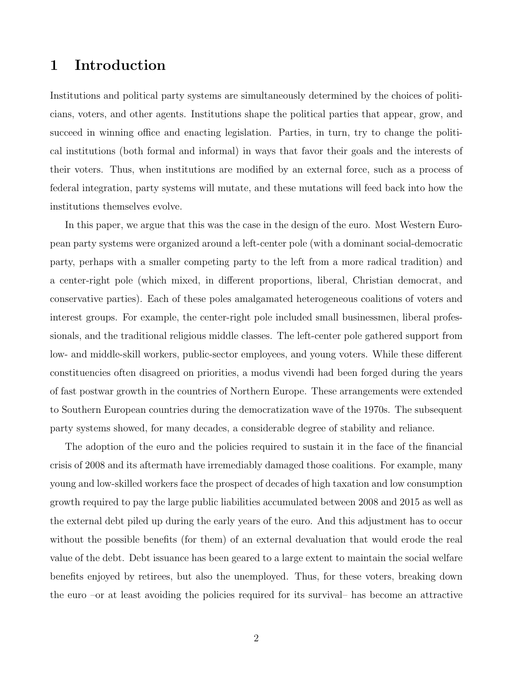## 1 Introduction

Institutions and political party systems are simultaneously determined by the choices of politicians, voters, and other agents. Institutions shape the political parties that appear, grow, and succeed in winning office and enacting legislation. Parties, in turn, try to change the political institutions (both formal and informal) in ways that favor their goals and the interests of their voters. Thus, when institutions are modified by an external force, such as a process of federal integration, party systems will mutate, and these mutations will feed back into how the institutions themselves evolve.

In this paper, we argue that this was the case in the design of the euro. Most Western European party systems were organized around a left-center pole (with a dominant social-democratic party, perhaps with a smaller competing party to the left from a more radical tradition) and a center-right pole (which mixed, in different proportions, liberal, Christian democrat, and conservative parties). Each of these poles amalgamated heterogeneous coalitions of voters and interest groups. For example, the center-right pole included small businessmen, liberal professionals, and the traditional religious middle classes. The left-center pole gathered support from low- and middle-skill workers, public-sector employees, and young voters. While these different constituencies often disagreed on priorities, a modus vivendi had been forged during the years of fast postwar growth in the countries of Northern Europe. These arrangements were extended to Southern European countries during the democratization wave of the 1970s. The subsequent party systems showed, for many decades, a considerable degree of stability and reliance.

The adoption of the euro and the policies required to sustain it in the face of the financial crisis of 2008 and its aftermath have irremediably damaged those coalitions. For example, many young and low-skilled workers face the prospect of decades of high taxation and low consumption growth required to pay the large public liabilities accumulated between 2008 and 2015 as well as the external debt piled up during the early years of the euro. And this adjustment has to occur without the possible benefits (for them) of an external devaluation that would erode the real value of the debt. Debt issuance has been geared to a large extent to maintain the social welfare benefits enjoyed by retirees, but also the unemployed. Thus, for these voters, breaking down the euro –or at least avoiding the policies required for its survival– has become an attractive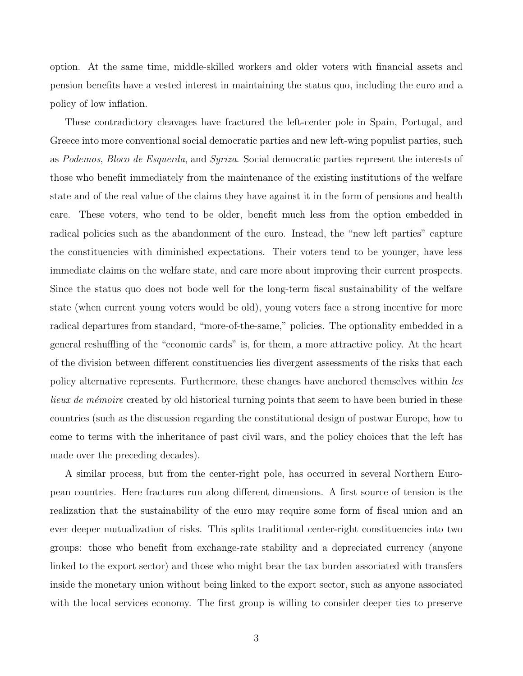option. At the same time, middle-skilled workers and older voters with financial assets and pension benefits have a vested interest in maintaining the status quo, including the euro and a policy of low inflation.

These contradictory cleavages have fractured the left-center pole in Spain, Portugal, and Greece into more conventional social democratic parties and new left-wing populist parties, such as Podemos, Bloco de Esquerda, and Syriza. Social democratic parties represent the interests of those who benefit immediately from the maintenance of the existing institutions of the welfare state and of the real value of the claims they have against it in the form of pensions and health care. These voters, who tend to be older, benefit much less from the option embedded in radical policies such as the abandonment of the euro. Instead, the "new left parties" capture the constituencies with diminished expectations. Their voters tend to be younger, have less immediate claims on the welfare state, and care more about improving their current prospects. Since the status quo does not bode well for the long-term fiscal sustainability of the welfare state (when current young voters would be old), young voters face a strong incentive for more radical departures from standard, "more-of-the-same," policies. The optionality embedded in a general reshuffling of the "economic cards" is, for them, a more attractive policy. At the heart of the division between different constituencies lies divergent assessments of the risks that each policy alternative represents. Furthermore, these changes have anchored themselves within les lieux de mémoire created by old historical turning points that seem to have been buried in these countries (such as the discussion regarding the constitutional design of postwar Europe, how to come to terms with the inheritance of past civil wars, and the policy choices that the left has made over the preceding decades).

A similar process, but from the center-right pole, has occurred in several Northern European countries. Here fractures run along different dimensions. A first source of tension is the realization that the sustainability of the euro may require some form of fiscal union and an ever deeper mutualization of risks. This splits traditional center-right constituencies into two groups: those who benefit from exchange-rate stability and a depreciated currency (anyone linked to the export sector) and those who might bear the tax burden associated with transfers inside the monetary union without being linked to the export sector, such as anyone associated with the local services economy. The first group is willing to consider deeper ties to preserve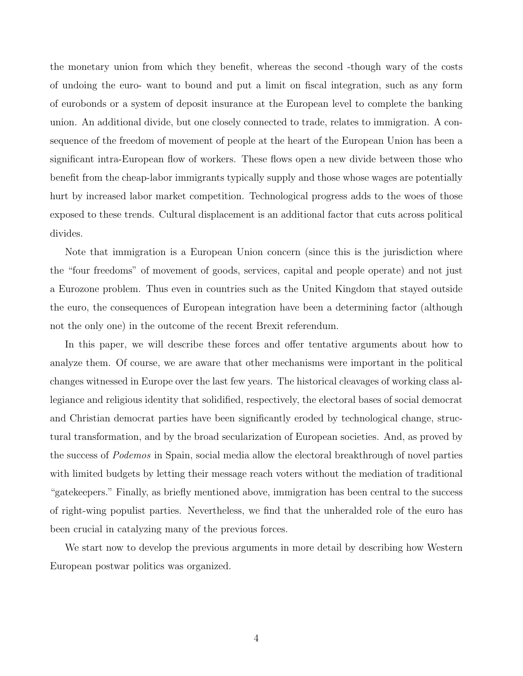the monetary union from which they benefit, whereas the second -though wary of the costs of undoing the euro- want to bound and put a limit on fiscal integration, such as any form of eurobonds or a system of deposit insurance at the European level to complete the banking union. An additional divide, but one closely connected to trade, relates to immigration. A consequence of the freedom of movement of people at the heart of the European Union has been a significant intra-European flow of workers. These flows open a new divide between those who benefit from the cheap-labor immigrants typically supply and those whose wages are potentially hurt by increased labor market competition. Technological progress adds to the woes of those exposed to these trends. Cultural displacement is an additional factor that cuts across political divides.

Note that immigration is a European Union concern (since this is the jurisdiction where the "four freedoms" of movement of goods, services, capital and people operate) and not just a Eurozone problem. Thus even in countries such as the United Kingdom that stayed outside the euro, the consequences of European integration have been a determining factor (although not the only one) in the outcome of the recent Brexit referendum.

In this paper, we will describe these forces and offer tentative arguments about how to analyze them. Of course, we are aware that other mechanisms were important in the political changes witnessed in Europe over the last few years. The historical cleavages of working class allegiance and religious identity that solidified, respectively, the electoral bases of social democrat and Christian democrat parties have been significantly eroded by technological change, structural transformation, and by the broad secularization of European societies. And, as proved by the success of Podemos in Spain, social media allow the electoral breakthrough of novel parties with limited budgets by letting their message reach voters without the mediation of traditional "gatekeepers." Finally, as briefly mentioned above, immigration has been central to the success of right-wing populist parties. Nevertheless, we find that the unheralded role of the euro has been crucial in catalyzing many of the previous forces.

We start now to develop the previous arguments in more detail by describing how Western European postwar politics was organized.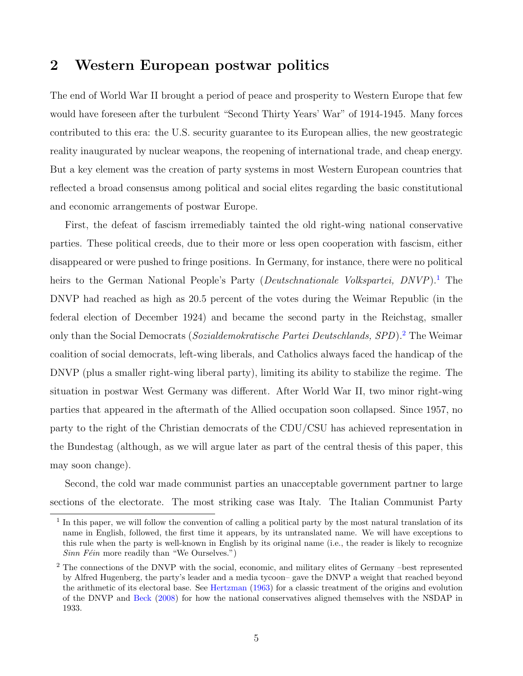# 2 Western European postwar politics

The end of World War II brought a period of peace and prosperity to Western Europe that few would have foreseen after the turbulent "Second Thirty Years' War" of 1914-1945. Many forces contributed to this era: the U.S. security guarantee to its European allies, the new geostrategic reality inaugurated by nuclear weapons, the reopening of international trade, and cheap energy. But a key element was the creation of party systems in most Western European countries that reflected a broad consensus among political and social elites regarding the basic constitutional and economic arrangements of postwar Europe.

First, the defeat of fascism irremediably tainted the old right-wing national conservative parties. These political creeds, due to their more or less open cooperation with fascism, either disappeared or were pushed to fringe positions. In Germany, for instance, there were no political heirs to the German National People's Party (Deutschnationale Volkspartei, DNVP).<sup>[1](#page-4-0)</sup> The DNVP had reached as high as 20.5 percent of the votes during the Weimar Republic (in the federal election of December 1924) and became the second party in the Reichstag, smaller only than the Social Democrats (Sozialdemokratische Partei Deutschlands, SPD).<sup>[2](#page-4-1)</sup> The Weimar coalition of social democrats, left-wing liberals, and Catholics always faced the handicap of the DNVP (plus a smaller right-wing liberal party), limiting its ability to stabilize the regime. The situation in postwar West Germany was different. After World War II, two minor right-wing parties that appeared in the aftermath of the Allied occupation soon collapsed. Since 1957, no party to the right of the Christian democrats of the CDU/CSU has achieved representation in the Bundestag (although, as we will argue later as part of the central thesis of this paper, this may soon change).

Second, the cold war made communist parties an unacceptable government partner to large sections of the electorate. The most striking case was Italy. The Italian Communist Party

<span id="page-4-0"></span><sup>&</sup>lt;sup>1</sup> In this paper, we will follow the convention of calling a political party by the most natural translation of its name in English, followed, the first time it appears, by its untranslated name. We will have exceptions to this rule when the party is well-known in English by its original name (i.e., the reader is likely to recognize  $Sinn Féin$  more readily than "We Ourselves.")

<span id="page-4-1"></span><sup>&</sup>lt;sup>2</sup> The connections of the DNVP with the social, economic, and military elites of Germany –best represented by Alfred Hugenberg, the party's leader and a media tycoon– gave the DNVP a weight that reached beyond the arithmetic of its electoral base. See [Hertzman](#page-25-0) [\(1963\)](#page-25-0) for a classic treatment of the origins and evolution of the DNVP and [Beck](#page-25-1) [\(2008\)](#page-25-1) for how the national conservatives aligned themselves with the NSDAP in 1933.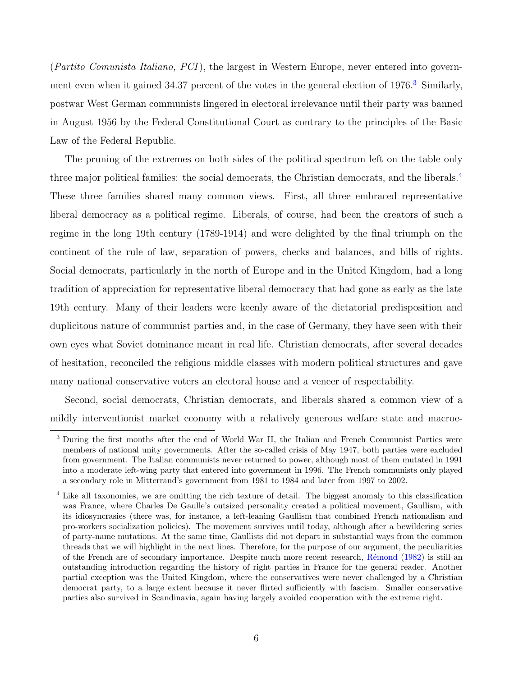(Partito Comunista Italiano, PCI), the largest in Western Europe, never entered into government even when it gained  $34.37$  $34.37$  percent of the votes in the general election of  $1976<sup>3</sup>$  Similarly, postwar West German communists lingered in electoral irrelevance until their party was banned in August 1956 by the Federal Constitutional Court as contrary to the principles of the Basic Law of the Federal Republic.

The pruning of the extremes on both sides of the political spectrum left on the table only three major political families: the social democrats, the Christian democrats, and the liberals.[4](#page-5-1) These three families shared many common views. First, all three embraced representative liberal democracy as a political regime. Liberals, of course, had been the creators of such a regime in the long 19th century (1789-1914) and were delighted by the final triumph on the continent of the rule of law, separation of powers, checks and balances, and bills of rights. Social democrats, particularly in the north of Europe and in the United Kingdom, had a long tradition of appreciation for representative liberal democracy that had gone as early as the late 19th century. Many of their leaders were keenly aware of the dictatorial predisposition and duplicitous nature of communist parties and, in the case of Germany, they have seen with their own eyes what Soviet dominance meant in real life. Christian democrats, after several decades of hesitation, reconciled the religious middle classes with modern political structures and gave many national conservative voters an electoral house and a veneer of respectability.

Second, social democrats, Christian democrats, and liberals shared a common view of a mildly interventionist market economy with a relatively generous welfare state and macroe-

<span id="page-5-0"></span><sup>3</sup> During the first months after the end of World War II, the Italian and French Communist Parties were members of national unity governments. After the so-called crisis of May 1947, both parties were excluded from government. The Italian communists never returned to power, although most of them mutated in 1991 into a moderate left-wing party that entered into government in 1996. The French communists only played a secondary role in Mitterrand's government from 1981 to 1984 and later from 1997 to 2002.

<span id="page-5-1"></span><sup>&</sup>lt;sup>4</sup> Like all taxonomies, we are omitting the rich texture of detail. The biggest anomaly to this classification was France, where Charles De Gaulle's outsized personality created a political movement, Gaullism, with its idiosyncrasies (there was, for instance, a left-leaning Gaullism that combined French nationalism and pro-workers socialization policies). The movement survives until today, although after a bewildering series of party-name mutations. At the same time, Gaullists did not depart in substantial ways from the common threads that we will highlight in the next lines. Therefore, for the purpose of our argument, the peculiarities of the French are of secondary importance. Despite much more recent research, [R´emond](#page-26-0) [\(1982\)](#page-26-0) is still an outstanding introduction regarding the history of right parties in France for the general reader. Another partial exception was the United Kingdom, where the conservatives were never challenged by a Christian democrat party, to a large extent because it never flirted sufficiently with fascism. Smaller conservative parties also survived in Scandinavia, again having largely avoided cooperation with the extreme right.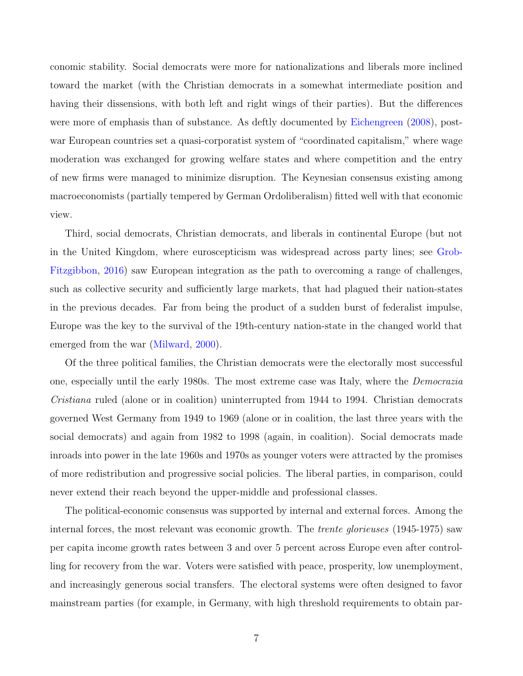conomic stability. Social democrats were more for nationalizations and liberals more inclined toward the market (with the Christian democrats in a somewhat intermediate position and having their dissensions, with both left and right wings of their parties). But the differences were more of emphasis than of substance. As deftly documented by [Eichengreen](#page-25-2) [\(2008\)](#page-25-2), postwar European countries set a quasi-corporatist system of "coordinated capitalism," where wage moderation was exchanged for growing welfare states and where competition and the entry of new firms were managed to minimize disruption. The Keynesian consensus existing among macroeconomists (partially tempered by German Ordoliberalism) fitted well with that economic view.

Third, social democrats, Christian democrats, and liberals in continental Europe (but not in the United Kingdom, where euroscepticism was widespread across party lines; see [Grob-](#page-25-3)[Fitzgibbon,](#page-25-3) [2016\)](#page-25-3) saw European integration as the path to overcoming a range of challenges, such as collective security and sufficiently large markets, that had plagued their nation-states in the previous decades. Far from being the product of a sudden burst of federalist impulse, Europe was the key to the survival of the 19th-century nation-state in the changed world that emerged from the war [\(Milward,](#page-26-1) [2000\)](#page-26-1).

Of the three political families, the Christian democrats were the electorally most successful one, especially until the early 1980s. The most extreme case was Italy, where the Democrazia Cristiana ruled (alone or in coalition) uninterrupted from 1944 to 1994. Christian democrats governed West Germany from 1949 to 1969 (alone or in coalition, the last three years with the social democrats) and again from 1982 to 1998 (again, in coalition). Social democrats made inroads into power in the late 1960s and 1970s as younger voters were attracted by the promises of more redistribution and progressive social policies. The liberal parties, in comparison, could never extend their reach beyond the upper-middle and professional classes.

The political-economic consensus was supported by internal and external forces. Among the internal forces, the most relevant was economic growth. The *trente glorieuses* (1945-1975) saw per capita income growth rates between 3 and over 5 percent across Europe even after controlling for recovery from the war. Voters were satisfied with peace, prosperity, low unemployment, and increasingly generous social transfers. The electoral systems were often designed to favor mainstream parties (for example, in Germany, with high threshold requirements to obtain par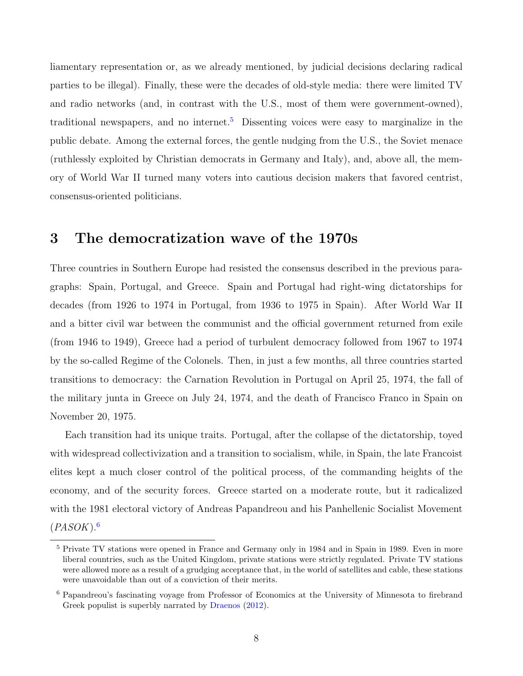liamentary representation or, as we already mentioned, by judicial decisions declaring radical parties to be illegal). Finally, these were the decades of old-style media: there were limited TV and radio networks (and, in contrast with the U.S., most of them were government-owned), traditional newspapers, and no internet.<sup>[5](#page-7-0)</sup> Dissenting voices were easy to marginalize in the public debate. Among the external forces, the gentle nudging from the U.S., the Soviet menace (ruthlessly exploited by Christian democrats in Germany and Italy), and, above all, the memory of World War II turned many voters into cautious decision makers that favored centrist, consensus-oriented politicians.

### 3 The democratization wave of the 1970s

Three countries in Southern Europe had resisted the consensus described in the previous paragraphs: Spain, Portugal, and Greece. Spain and Portugal had right-wing dictatorships for decades (from 1926 to 1974 in Portugal, from 1936 to 1975 in Spain). After World War II and a bitter civil war between the communist and the official government returned from exile (from 1946 to 1949), Greece had a period of turbulent democracy followed from 1967 to 1974 by the so-called Regime of the Colonels. Then, in just a few months, all three countries started transitions to democracy: the Carnation Revolution in Portugal on April 25, 1974, the fall of the military junta in Greece on July 24, 1974, and the death of Francisco Franco in Spain on November 20, 1975.

Each transition had its unique traits. Portugal, after the collapse of the dictatorship, toyed with widespread collectivization and a transition to socialism, while, in Spain, the late Francoist elites kept a much closer control of the political process, of the commanding heights of the economy, and of the security forces. Greece started on a moderate route, but it radicalized with the 1981 electoral victory of Andreas Papandreou and his Panhellenic Socialist Movement  $(PASOK).<sup>6</sup>$  $(PASOK).<sup>6</sup>$  $(PASOK).<sup>6</sup>$ 

<span id="page-7-0"></span><sup>5</sup> Private TV stations were opened in France and Germany only in 1984 and in Spain in 1989. Even in more liberal countries, such as the United Kingdom, private stations were strictly regulated. Private TV stations were allowed more as a result of a grudging acceptance that, in the world of satellites and cable, these stations were unavoidable than out of a conviction of their merits.

<span id="page-7-1"></span><sup>6</sup> Papandreou's fascinating voyage from Professor of Economics at the University of Minnesota to firebrand Greek populist is superbly narrated by [Draenos](#page-25-4) [\(2012\)](#page-25-4).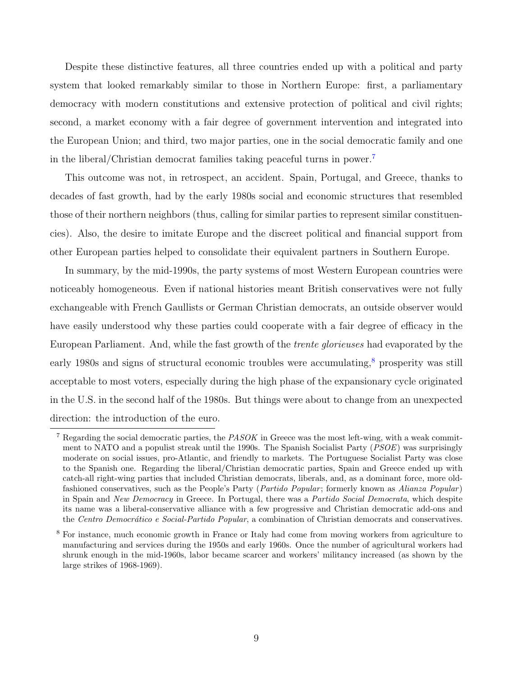Despite these distinctive features, all three countries ended up with a political and party system that looked remarkably similar to those in Northern Europe: first, a parliamentary democracy with modern constitutions and extensive protection of political and civil rights; second, a market economy with a fair degree of government intervention and integrated into the European Union; and third, two major parties, one in the social democratic family and one in the liberal/Christian democrat families taking peaceful turns in power.[7](#page-8-0)

This outcome was not, in retrospect, an accident. Spain, Portugal, and Greece, thanks to decades of fast growth, had by the early 1980s social and economic structures that resembled those of their northern neighbors (thus, calling for similar parties to represent similar constituencies). Also, the desire to imitate Europe and the discreet political and financial support from other European parties helped to consolidate their equivalent partners in Southern Europe.

In summary, by the mid-1990s, the party systems of most Western European countries were noticeably homogeneous. Even if national histories meant British conservatives were not fully exchangeable with French Gaullists or German Christian democrats, an outside observer would have easily understood why these parties could cooperate with a fair degree of efficacy in the European Parliament. And, while the fast growth of the trente glorieuses had evaporated by the early 19[8](#page-8-1)0s and signs of structural economic troubles were accumulating, $\frac{8}{3}$  prosperity was still acceptable to most voters, especially during the high phase of the expansionary cycle originated in the U.S. in the second half of the 1980s. But things were about to change from an unexpected direction: the introduction of the euro.

<span id="page-8-0"></span><sup>&</sup>lt;sup>7</sup> Regarding the social democratic parties, the *PASOK* in Greece was the most left-wing, with a weak commitment to NATO and a populist streak until the 1990s. The Spanish Socialist Party (*PSOE*) was surprisingly moderate on social issues, pro-Atlantic, and friendly to markets. The Portuguese Socialist Party was close to the Spanish one. Regarding the liberal/Christian democratic parties, Spain and Greece ended up with catch-all right-wing parties that included Christian democrats, liberals, and, as a dominant force, more oldfashioned conservatives, such as the People's Party (*Partido Popular*; formerly known as Alianza Popular) in Spain and New Democracy in Greece. In Portugal, there was a Partido Social Democrata, which despite its name was a liberal-conservative alliance with a few progressive and Christian democratic add-ons and the Centro Democrático e Social-Partido Popular, a combination of Christian democrats and conservatives.

<span id="page-8-1"></span><sup>8</sup> For instance, much economic growth in France or Italy had come from moving workers from agriculture to manufacturing and services during the 1950s and early 1960s. Once the number of agricultural workers had shrunk enough in the mid-1960s, labor became scarcer and workers' militancy increased (as shown by the large strikes of 1968-1969).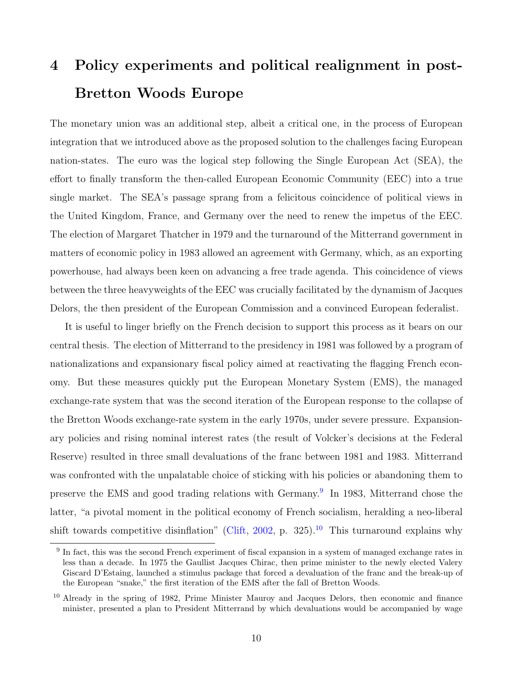# 4 Policy experiments and political realignment in post-Bretton Woods Europe

The monetary union was an additional step, albeit a critical one, in the process of European integration that we introduced above as the proposed solution to the challenges facing European nation-states. The euro was the logical step following the Single European Act (SEA), the effort to finally transform the then-called European Economic Community (EEC) into a true single market. The SEA's passage sprang from a felicitous coincidence of political views in the United Kingdom, France, and Germany over the need to renew the impetus of the EEC. The election of Margaret Thatcher in 1979 and the turnaround of the Mitterrand government in matters of economic policy in 1983 allowed an agreement with Germany, which, as an exporting powerhouse, had always been keen on advancing a free trade agenda. This coincidence of views between the three heavyweights of the EEC was crucially facilitated by the dynamism of Jacques Delors, the then president of the European Commission and a convinced European federalist.

It is useful to linger briefly on the French decision to support this process as it bears on our central thesis. The election of Mitterrand to the presidency in 1981 was followed by a program of nationalizations and expansionary fiscal policy aimed at reactivating the flagging French economy. But these measures quickly put the European Monetary System (EMS), the managed exchange-rate system that was the second iteration of the European response to the collapse of the Bretton Woods exchange-rate system in the early 1970s, under severe pressure. Expansionary policies and rising nominal interest rates (the result of Volcker's decisions at the Federal Reserve) resulted in three small devaluations of the franc between 1981 and 1983. Mitterrand was confronted with the unpalatable choice of sticking with his policies or abandoning them to preserve the EMS and good trading relations with Germany.<sup>[9](#page-9-0)</sup> In 1983, Mitterrand chose the latter, "a pivotal moment in the political economy of French socialism, heralding a neo-liberal shift towards competitive disinflation" [\(Clift,](#page-25-5) [2002,](#page-25-5) p. 325).<sup>[10](#page-9-1)</sup> This turnaround explains why

<span id="page-9-0"></span><sup>&</sup>lt;sup>9</sup> In fact, this was the second French experiment of fiscal expansion in a system of managed exchange rates in less than a decade. In 1975 the Gaullist Jacques Chirac, then prime minister to the newly elected Valery Giscard D'Estaing, launched a stimulus package that forced a devaluation of the franc and the break-up of the European "snake," the first iteration of the EMS after the fall of Bretton Woods.

<span id="page-9-1"></span><sup>&</sup>lt;sup>10</sup> Already in the spring of 1982, Prime Minister Mauroy and Jacques Delors, then economic and finance minister, presented a plan to President Mitterrand by which devaluations would be accompanied by wage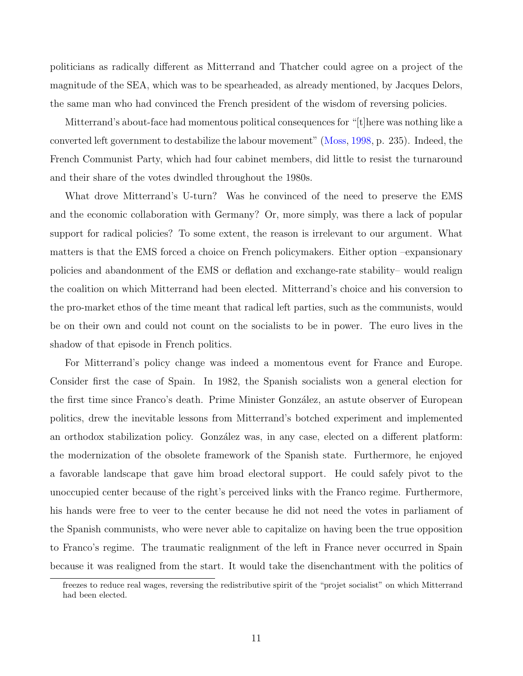politicians as radically different as Mitterrand and Thatcher could agree on a project of the magnitude of the SEA, which was to be spearheaded, as already mentioned, by Jacques Delors, the same man who had convinced the French president of the wisdom of reversing policies.

Mitterrand's about-face had momentous political consequences for "[t]here was nothing like a converted left government to destabilize the labour movement" [\(Moss,](#page-26-2) [1998,](#page-26-2) p. 235). Indeed, the French Communist Party, which had four cabinet members, did little to resist the turnaround and their share of the votes dwindled throughout the 1980s.

What drove Mitterrand's U-turn? Was he convinced of the need to preserve the EMS and the economic collaboration with Germany? Or, more simply, was there a lack of popular support for radical policies? To some extent, the reason is irrelevant to our argument. What matters is that the EMS forced a choice on French policymakers. Either option –expansionary policies and abandonment of the EMS or deflation and exchange-rate stability– would realign the coalition on which Mitterrand had been elected. Mitterrand's choice and his conversion to the pro-market ethos of the time meant that radical left parties, such as the communists, would be on their own and could not count on the socialists to be in power. The euro lives in the shadow of that episode in French politics.

For Mitterrand's policy change was indeed a momentous event for France and Europe. Consider first the case of Spain. In 1982, the Spanish socialists won a general election for the first time since Franco's death. Prime Minister González, an astute observer of European politics, drew the inevitable lessons from Mitterrand's botched experiment and implemented an orthodox stabilization policy. González was, in any case, elected on a different platform: the modernization of the obsolete framework of the Spanish state. Furthermore, he enjoyed a favorable landscape that gave him broad electoral support. He could safely pivot to the unoccupied center because of the right's perceived links with the Franco regime. Furthermore, his hands were free to veer to the center because he did not need the votes in parliament of the Spanish communists, who were never able to capitalize on having been the true opposition to Franco's regime. The traumatic realignment of the left in France never occurred in Spain because it was realigned from the start. It would take the disenchantment with the politics of

freezes to reduce real wages, reversing the redistributive spirit of the "projet socialist" on which Mitterrand had been elected.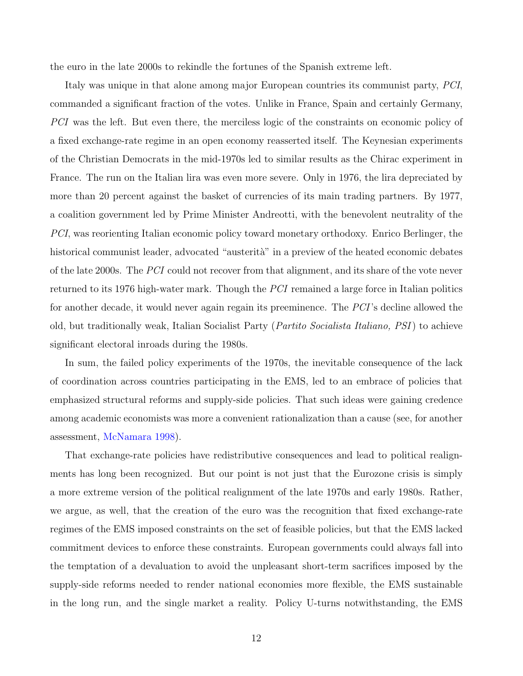the euro in the late 2000s to rekindle the fortunes of the Spanish extreme left.

Italy was unique in that alone among major European countries its communist party, PCI, commanded a significant fraction of the votes. Unlike in France, Spain and certainly Germany, PCI was the left. But even there, the merciless logic of the constraints on economic policy of a fixed exchange-rate regime in an open economy reasserted itself. The Keynesian experiments of the Christian Democrats in the mid-1970s led to similar results as the Chirac experiment in France. The run on the Italian lira was even more severe. Only in 1976, the lira depreciated by more than 20 percent against the basket of currencies of its main trading partners. By 1977, a coalition government led by Prime Minister Andreotti, with the benevolent neutrality of the PCI, was reorienting Italian economic policy toward monetary orthodoxy. Enrico Berlinger, the historical communist leader, advocated "austerità" in a preview of the heated economic debates of the late 2000s. The PCI could not recover from that alignment, and its share of the vote never returned to its 1976 high-water mark. Though the PCI remained a large force in Italian politics for another decade, it would never again regain its preeminence. The PCI's decline allowed the old, but traditionally weak, Italian Socialist Party (Partito Socialista Italiano, PSI) to achieve significant electoral inroads during the 1980s.

In sum, the failed policy experiments of the 1970s, the inevitable consequence of the lack of coordination across countries participating in the EMS, led to an embrace of policies that emphasized structural reforms and supply-side policies. That such ideas were gaining credence among academic economists was more a convenient rationalization than a cause (see, for another assessment, [McNamara](#page-26-3) [1998\)](#page-26-3).

That exchange-rate policies have redistributive consequences and lead to political realignments has long been recognized. But our point is not just that the Eurozone crisis is simply a more extreme version of the political realignment of the late 1970s and early 1980s. Rather, we argue, as well, that the creation of the euro was the recognition that fixed exchange-rate regimes of the EMS imposed constraints on the set of feasible policies, but that the EMS lacked commitment devices to enforce these constraints. European governments could always fall into the temptation of a devaluation to avoid the unpleasant short-term sacrifices imposed by the supply-side reforms needed to render national economies more flexible, the EMS sustainable in the long run, and the single market a reality. Policy U-turns notwithstanding, the EMS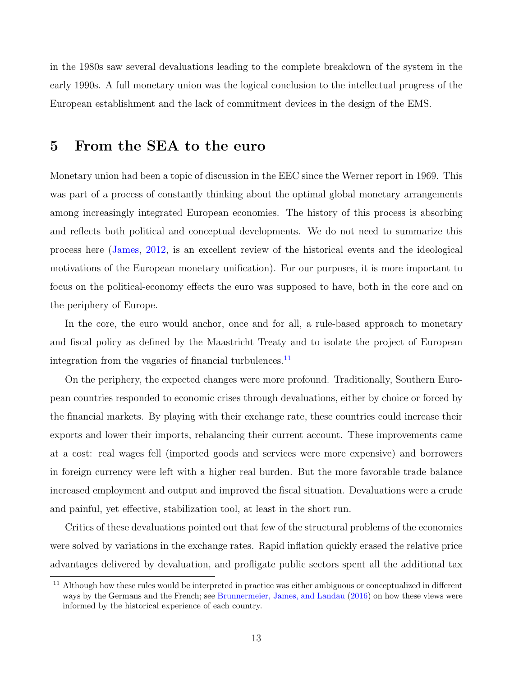in the 1980s saw several devaluations leading to the complete breakdown of the system in the early 1990s. A full monetary union was the logical conclusion to the intellectual progress of the European establishment and the lack of commitment devices in the design of the EMS.

### 5 From the SEA to the euro

Monetary union had been a topic of discussion in the EEC since the Werner report in 1969. This was part of a process of constantly thinking about the optimal global monetary arrangements among increasingly integrated European economies. The history of this process is absorbing and reflects both political and conceptual developments. We do not need to summarize this process here [\(James,](#page-26-4) [2012,](#page-26-4) is an excellent review of the historical events and the ideological motivations of the European monetary unification). For our purposes, it is more important to focus on the political-economy effects the euro was supposed to have, both in the core and on the periphery of Europe.

In the core, the euro would anchor, once and for all, a rule-based approach to monetary and fiscal policy as defined by the Maastricht Treaty and to isolate the project of European integration from the vagaries of financial turbulences. $^{11}$  $^{11}$  $^{11}$ 

On the periphery, the expected changes were more profound. Traditionally, Southern European countries responded to economic crises through devaluations, either by choice or forced by the financial markets. By playing with their exchange rate, these countries could increase their exports and lower their imports, rebalancing their current account. These improvements came at a cost: real wages fell (imported goods and services were more expensive) and borrowers in foreign currency were left with a higher real burden. But the more favorable trade balance increased employment and output and improved the fiscal situation. Devaluations were a crude and painful, yet effective, stabilization tool, at least in the short run.

Critics of these devaluations pointed out that few of the structural problems of the economies were solved by variations in the exchange rates. Rapid inflation quickly erased the relative price advantages delivered by devaluation, and profligate public sectors spent all the additional tax

<span id="page-12-0"></span><sup>&</sup>lt;sup>11</sup> Although how these rules would be interpreted in practice was either ambiguous or conceptualized in different ways by the Germans and the French; see [Brunnermeier, James, and Landau](#page-25-6) [\(2016\)](#page-25-6) on how these views were informed by the historical experience of each country.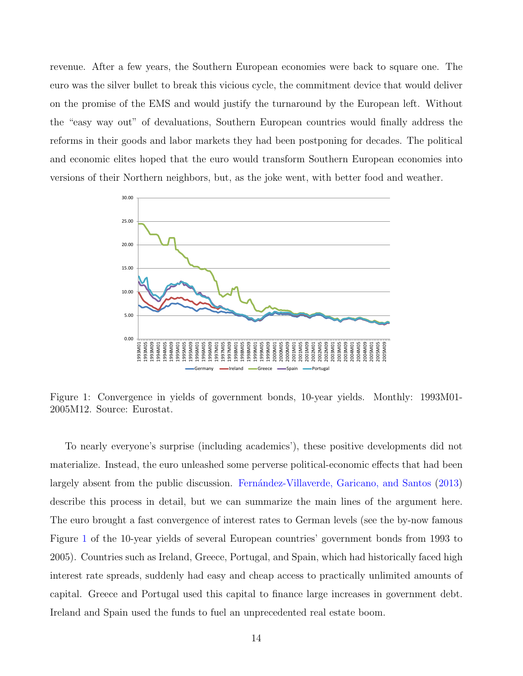revenue. After a few years, the Southern European economies were back to square one. The euro was the silver bullet to break this vicious cycle, the commitment device that would deliver on the promise of the EMS and would justify the turnaround by the European left. Without the "easy way out" of devaluations, Southern European countries would finally address the reforms in their goods and labor markets they had been postponing for decades. The political and economic elites hoped that the euro would transform Southern European economies into versions of their Northern neighbors, but, as the joke went, with better food and weather.



<span id="page-13-0"></span>Figure 1: Convergence in yields of government bonds, 10-year yields. Monthly: 1993M01- 2005M12. Source: Eurostat.

To nearly everyone's surprise (including academics'), these positive developments did not materialize. Instead, the euro unleashed some perverse political-economic effects that had been largely absent from the public discussion. Fernández-Villaverde, Garicano, and Santos [\(2013\)](#page-25-7) describe this process in detail, but we can summarize the main lines of the argument here. The euro brought a fast convergence of interest rates to German levels (see the by-now famous Figure [1](#page-13-0) of the 10-year yields of several European countries' government bonds from 1993 to 2005). Countries such as Ireland, Greece, Portugal, and Spain, which had historically faced high interest rate spreads, suddenly had easy and cheap access to practically unlimited amounts of capital. Greece and Portugal used this capital to finance large increases in government debt. Ireland and Spain used the funds to fuel an unprecedented real estate boom.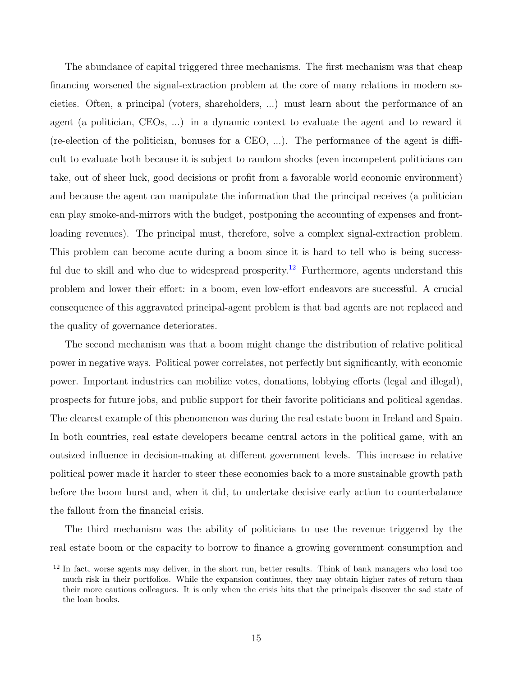The abundance of capital triggered three mechanisms. The first mechanism was that cheap financing worsened the signal-extraction problem at the core of many relations in modern societies. Often, a principal (voters, shareholders, ...) must learn about the performance of an agent (a politician, CEOs, ...) in a dynamic context to evaluate the agent and to reward it (re-election of the politician, bonuses for a CEO, ...). The performance of the agent is difficult to evaluate both because it is subject to random shocks (even incompetent politicians can take, out of sheer luck, good decisions or profit from a favorable world economic environment) and because the agent can manipulate the information that the principal receives (a politician can play smoke-and-mirrors with the budget, postponing the accounting of expenses and frontloading revenues). The principal must, therefore, solve a complex signal-extraction problem. This problem can become acute during a boom since it is hard to tell who is being success-ful due to skill and who due to widespread prosperity.<sup>[12](#page-14-0)</sup> Furthermore, agents understand this problem and lower their effort: in a boom, even low-effort endeavors are successful. A crucial consequence of this aggravated principal-agent problem is that bad agents are not replaced and the quality of governance deteriorates.

The second mechanism was that a boom might change the distribution of relative political power in negative ways. Political power correlates, not perfectly but significantly, with economic power. Important industries can mobilize votes, donations, lobbying efforts (legal and illegal), prospects for future jobs, and public support for their favorite politicians and political agendas. The clearest example of this phenomenon was during the real estate boom in Ireland and Spain. In both countries, real estate developers became central actors in the political game, with an outsized influence in decision-making at different government levels. This increase in relative political power made it harder to steer these economies back to a more sustainable growth path before the boom burst and, when it did, to undertake decisive early action to counterbalance the fallout from the financial crisis.

The third mechanism was the ability of politicians to use the revenue triggered by the real estate boom or the capacity to borrow to finance a growing government consumption and

<span id="page-14-0"></span><sup>&</sup>lt;sup>12</sup> In fact, worse agents may deliver, in the short run, better results. Think of bank managers who load too much risk in their portfolios. While the expansion continues, they may obtain higher rates of return than their more cautious colleagues. It is only when the crisis hits that the principals discover the sad state of the loan books.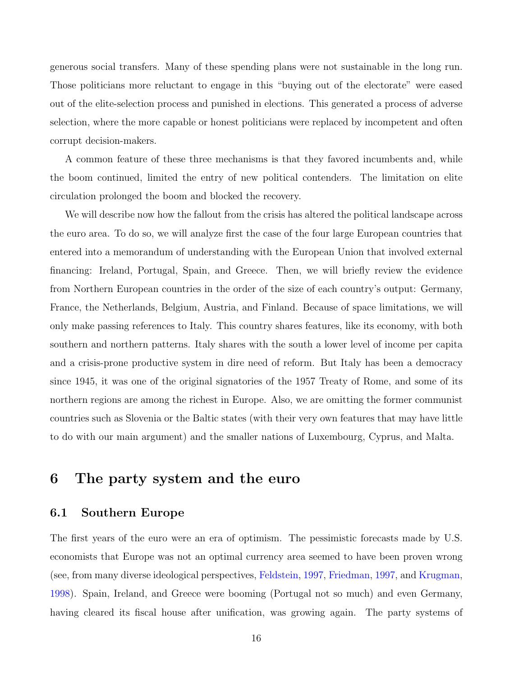generous social transfers. Many of these spending plans were not sustainable in the long run. Those politicians more reluctant to engage in this "buying out of the electorate" were eased out of the elite-selection process and punished in elections. This generated a process of adverse selection, where the more capable or honest politicians were replaced by incompetent and often corrupt decision-makers.

A common feature of these three mechanisms is that they favored incumbents and, while the boom continued, limited the entry of new political contenders. The limitation on elite circulation prolonged the boom and blocked the recovery.

We will describe now how the fallout from the crisis has altered the political landscape across the euro area. To do so, we will analyze first the case of the four large European countries that entered into a memorandum of understanding with the European Union that involved external financing: Ireland, Portugal, Spain, and Greece. Then, we will briefly review the evidence from Northern European countries in the order of the size of each country's output: Germany, France, the Netherlands, Belgium, Austria, and Finland. Because of space limitations, we will only make passing references to Italy. This country shares features, like its economy, with both southern and northern patterns. Italy shares with the south a lower level of income per capita and a crisis-prone productive system in dire need of reform. But Italy has been a democracy since 1945, it was one of the original signatories of the 1957 Treaty of Rome, and some of its northern regions are among the richest in Europe. Also, we are omitting the former communist countries such as Slovenia or the Baltic states (with their very own features that may have little to do with our main argument) and the smaller nations of Luxembourg, Cyprus, and Malta.

# 6 The party system and the euro

#### <span id="page-15-0"></span>6.1 Southern Europe

The first years of the euro were an era of optimism. The pessimistic forecasts made by U.S. economists that Europe was not an optimal currency area seemed to have been proven wrong (see, from many diverse ideological perspectives, [Feldstein,](#page-25-8) [1997,](#page-25-8) [Friedman,](#page-25-9) [1997,](#page-25-9) and [Krugman,](#page-26-5) [1998\)](#page-26-5). Spain, Ireland, and Greece were booming (Portugal not so much) and even Germany, having cleared its fiscal house after unification, was growing again. The party systems of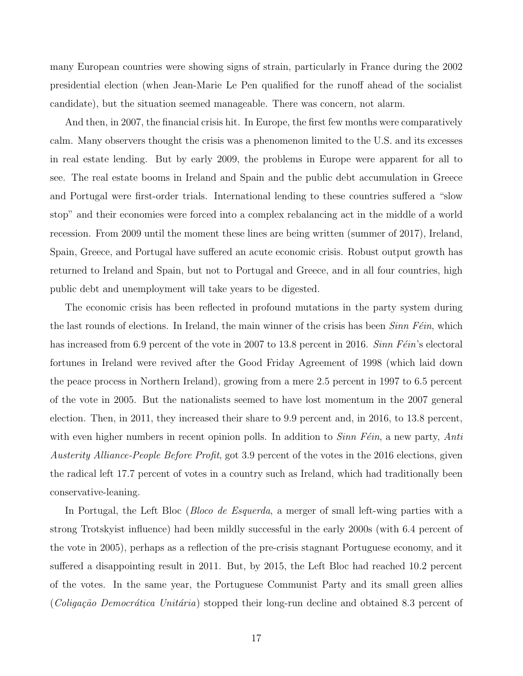many European countries were showing signs of strain, particularly in France during the 2002 presidential election (when Jean-Marie Le Pen qualified for the runoff ahead of the socialist candidate), but the situation seemed manageable. There was concern, not alarm.

And then, in 2007, the financial crisis hit. In Europe, the first few months were comparatively calm. Many observers thought the crisis was a phenomenon limited to the U.S. and its excesses in real estate lending. But by early 2009, the problems in Europe were apparent for all to see. The real estate booms in Ireland and Spain and the public debt accumulation in Greece and Portugal were first-order trials. International lending to these countries suffered a "slow stop" and their economies were forced into a complex rebalancing act in the middle of a world recession. From 2009 until the moment these lines are being written (summer of 2017), Ireland, Spain, Greece, and Portugal have suffered an acute economic crisis. Robust output growth has returned to Ireland and Spain, but not to Portugal and Greece, and in all four countries, high public debt and unemployment will take years to be digested.

The economic crisis has been reflected in profound mutations in the party system during the last rounds of elections. In Ireland, the main winner of the crisis has been  $Sinn Féin$ , which has increased from 6.9 percent of the vote in 2007 to 13.8 percent in 2016. Sinn  $F\acute{e}in$ 's electoral fortunes in Ireland were revived after the Good Friday Agreement of 1998 (which laid down the peace process in Northern Ireland), growing from a mere 2.5 percent in 1997 to 6.5 percent of the vote in 2005. But the nationalists seemed to have lost momentum in the 2007 general election. Then, in 2011, they increased their share to 9.9 percent and, in 2016, to 13.8 percent, with even higher numbers in recent opinion polls. In addition to  $Sinn Féin$ , a new party, Anti Austerity Alliance-People Before Profit, got 3.9 percent of the votes in the 2016 elections, given the radical left 17.7 percent of votes in a country such as Ireland, which had traditionally been conservative-leaning.

In Portugal, the Left Bloc (*Bloco de Esquerda*, a merger of small left-wing parties with a strong Trotskyist influence) had been mildly successful in the early 2000s (with 6.4 percent of the vote in 2005), perhaps as a reflection of the pre-crisis stagnant Portuguese economy, and it suffered a disappointing result in 2011. But, by 2015, the Left Bloc had reached 10.2 percent of the votes. In the same year, the Portuguese Communist Party and its small green allies (*Coligação Democrática Unitária*) stopped their long-run decline and obtained 8.3 percent of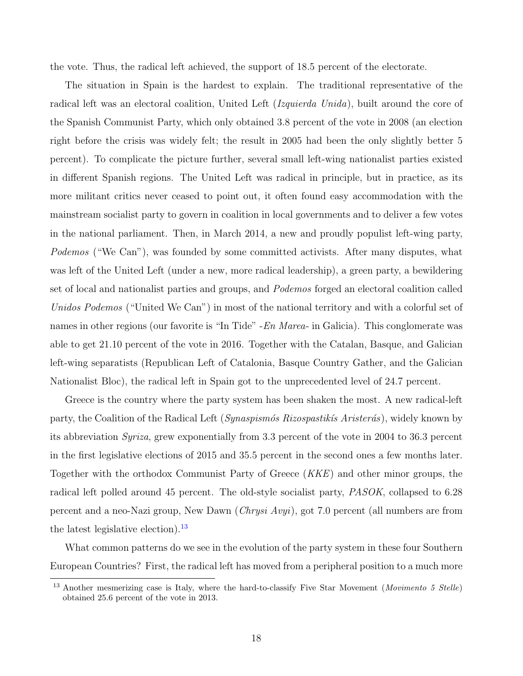the vote. Thus, the radical left achieved, the support of 18.5 percent of the electorate.

The situation in Spain is the hardest to explain. The traditional representative of the radical left was an electoral coalition, United Left (Izquierda Unida), built around the core of the Spanish Communist Party, which only obtained 3.8 percent of the vote in 2008 (an election right before the crisis was widely felt; the result in 2005 had been the only slightly better 5 percent). To complicate the picture further, several small left-wing nationalist parties existed in different Spanish regions. The United Left was radical in principle, but in practice, as its more militant critics never ceased to point out, it often found easy accommodation with the mainstream socialist party to govern in coalition in local governments and to deliver a few votes in the national parliament. Then, in March 2014, a new and proudly populist left-wing party, Podemos ("We Can"), was founded by some committed activists. After many disputes, what was left of the United Left (under a new, more radical leadership), a green party, a bewildering set of local and nationalist parties and groups, and Podemos forged an electoral coalition called Unidos Podemos ("United We Can") in most of the national territory and with a colorful set of names in other regions (our favorite is "In Tide" - En Marea- in Galicia). This conglomerate was able to get 21.10 percent of the vote in 2016. Together with the Catalan, Basque, and Galician left-wing separatists (Republican Left of Catalonia, Basque Country Gather, and the Galician Nationalist Bloc), the radical left in Spain got to the unprecedented level of 24.7 percent.

Greece is the country where the party system has been shaken the most. A new radical-left party, the Coalition of the Radical Left (Synaspism's Rizospastik's Arister's), widely known by its abbreviation Syriza, grew exponentially from 3.3 percent of the vote in 2004 to 36.3 percent in the first legislative elections of 2015 and 35.5 percent in the second ones a few months later. Together with the orthodox Communist Party of Greece (KKE) and other minor groups, the radical left polled around 45 percent. The old-style socialist party, PASOK, collapsed to 6.28 percent and a neo-Nazi group, New Dawn (Chrysi Avyi), got 7.0 percent (all numbers are from the latest legislative election). $^{13}$  $^{13}$  $^{13}$ 

What common patterns do we see in the evolution of the party system in these four Southern European Countries? First, the radical left has moved from a peripheral position to a much more

<span id="page-17-0"></span><sup>&</sup>lt;sup>13</sup> Another mesmerizing case is Italy, where the hard-to-classify Five Star Movement (*Movimento 5 Stelle*) obtained 25.6 percent of the vote in 2013.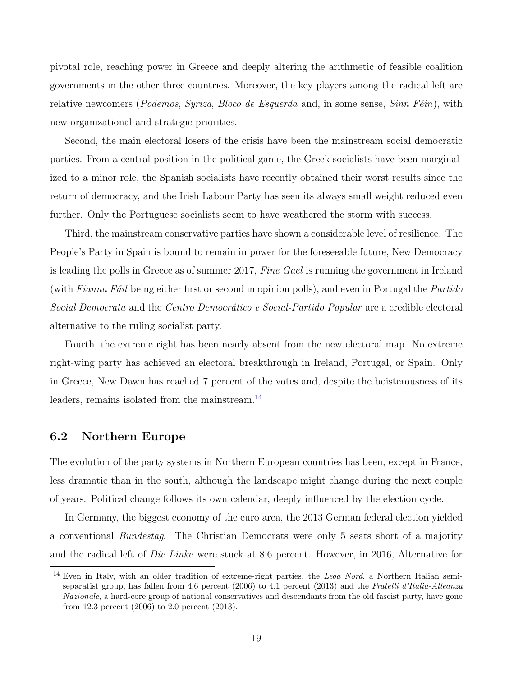pivotal role, reaching power in Greece and deeply altering the arithmetic of feasible coalition governments in the other three countries. Moreover, the key players among the radical left are relative newcomers (Podemos, Syriza, Bloco de Esquerda and, in some sense,  $Sinn Féin$ ), with new organizational and strategic priorities.

Second, the main electoral losers of the crisis have been the mainstream social democratic parties. From a central position in the political game, the Greek socialists have been marginalized to a minor role, the Spanish socialists have recently obtained their worst results since the return of democracy, and the Irish Labour Party has seen its always small weight reduced even further. Only the Portuguese socialists seem to have weathered the storm with success.

Third, the mainstream conservative parties have shown a considerable level of resilience. The People's Party in Spain is bound to remain in power for the foreseeable future, New Democracy is leading the polls in Greece as of summer 2017, Fine Gael is running the government in Ireland (with Fianna Fáil being either first or second in opinion polls), and even in Portugal the Partido Social Democrata and the Centro Democrático e Social-Partido Popular are a credible electoral alternative to the ruling socialist party.

Fourth, the extreme right has been nearly absent from the new electoral map. No extreme right-wing party has achieved an electoral breakthrough in Ireland, Portugal, or Spain. Only in Greece, New Dawn has reached 7 percent of the votes and, despite the boisterousness of its leaders, remains isolated from the mainstream.<sup>[14](#page-18-0)</sup>

#### <span id="page-18-1"></span>6.2 Northern Europe

The evolution of the party systems in Northern European countries has been, except in France, less dramatic than in the south, although the landscape might change during the next couple of years. Political change follows its own calendar, deeply influenced by the election cycle.

In Germany, the biggest economy of the euro area, the 2013 German federal election yielded a conventional Bundestag. The Christian Democrats were only 5 seats short of a majority and the radical left of Die Linke were stuck at 8.6 percent. However, in 2016, Alternative for

<span id="page-18-0"></span><sup>&</sup>lt;sup>14</sup> Even in Italy, with an older tradition of extreme-right parties, the Lega Nord, a Northern Italian semiseparatist group, has fallen from 4.6 percent (2006) to 4.1 percent (2013) and the Fratelli d'Italia-Alleanza Nazionale, a hard-core group of national conservatives and descendants from the old fascist party, have gone from 12.3 percent (2006) to 2.0 percent (2013).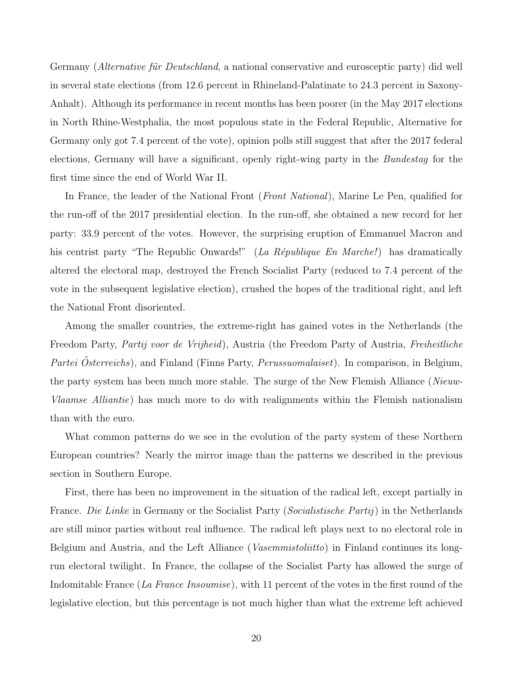Germany (*Alternative für Deutschland*, a national conservative and eurosceptic party) did well in several state elections (from 12.6 percent in Rhineland-Palatinate to 24.3 percent in Saxony-Anhalt). Although its performance in recent months has been poorer (in the May 2017 elections in North Rhine-Westphalia, the most populous state in the Federal Republic, Alternative for Germany only got 7.4 percent of the vote), opinion polls still suggest that after the 2017 federal elections, Germany will have a significant, openly right-wing party in the Bundestag for the first time since the end of World War II.

In France, the leader of the National Front (*Front National*), Marine Le Pen, qualified for the run-off of the 2017 presidential election. In the run-off, she obtained a new record for her party: 33.9 percent of the votes. However, the surprising eruption of Emmanuel Macron and his centrist party "The Republic Onwards!" (La République En Marche!) has dramatically altered the electoral map, destroyed the French Socialist Party (reduced to 7.4 percent of the vote in the subsequent legislative election), crushed the hopes of the traditional right, and left the National Front disoriented.

Among the smaller countries, the extreme-right has gained votes in the Netherlands (the Freedom Party, Partij voor de Vrijheid), Austria (the Freedom Party of Austria, Freiheitliche Partei Österreichs), and Finland (Finns Party, Perussuomalaiset). In comparison, in Belgium, the party system has been much more stable. The surge of the New Flemish Alliance (Nieuw-Vlaamse Alliantie) has much more to do with realignments within the Flemish nationalism than with the euro.

What common patterns do we see in the evolution of the party system of these Northern European countries? Nearly the mirror image than the patterns we described in the previous section in Southern Europe.

First, there has been no improvement in the situation of the radical left, except partially in France. Die Linke in Germany or the Socialist Party (Socialistische Partij) in the Netherlands are still minor parties without real influence. The radical left plays next to no electoral role in Belgium and Austria, and the Left Alliance (Vasemmistoliitto) in Finland continues its longrun electoral twilight. In France, the collapse of the Socialist Party has allowed the surge of Indomitable France (La France Insoumise), with 11 percent of the votes in the first round of the legislative election, but this percentage is not much higher than what the extreme left achieved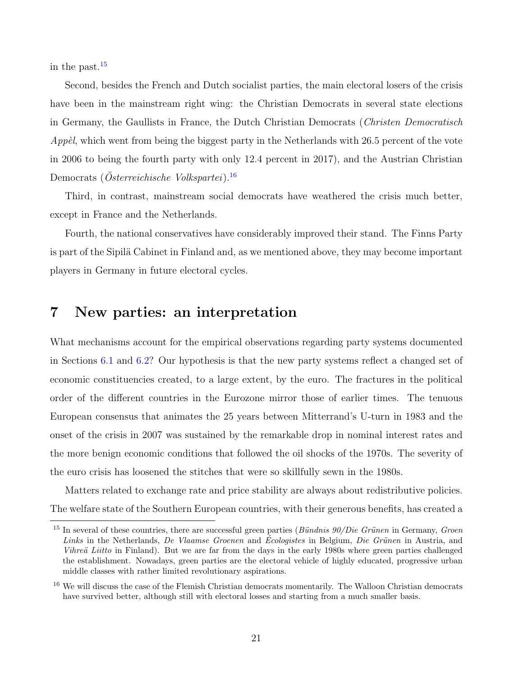in the past. $15$ 

Second, besides the French and Dutch socialist parties, the main electoral losers of the crisis have been in the mainstream right wing: the Christian Democrats in several state elections in Germany, the Gaullists in France, the Dutch Christian Democrats (Christen Democratisch *Appèl*, which went from being the biggest party in the Netherlands with 26.5 percent of the vote in 2006 to being the fourth party with only 12.4 percent in 2017), and the Austrian Christian Democrats (*Osterreichische Volkspartei*).<sup>[16](#page-20-1)</sup>

Third, in contrast, mainstream social democrats have weathered the crisis much better, except in France and the Netherlands.

Fourth, the national conservatives have considerably improved their stand. The Finns Party is part of the Sipilä Cabinet in Finland and, as we mentioned above, they may become important players in Germany in future electoral cycles.

## 7 New parties: an interpretation

What mechanisms account for the empirical observations regarding party systems documented in Sections [6.1](#page-15-0) and [6.2?](#page-18-1) Our hypothesis is that the new party systems reflect a changed set of economic constituencies created, to a large extent, by the euro. The fractures in the political order of the different countries in the Eurozone mirror those of earlier times. The tenuous European consensus that animates the 25 years between Mitterrand's U-turn in 1983 and the onset of the crisis in 2007 was sustained by the remarkable drop in nominal interest rates and the more benign economic conditions that followed the oil shocks of the 1970s. The severity of the euro crisis has loosened the stitches that were so skillfully sewn in the 1980s.

Matters related to exchange rate and price stability are always about redistributive policies. The welfare state of the Southern European countries, with their generous benefits, has created a

<span id="page-20-0"></span><sup>&</sup>lt;sup>15</sup> In several of these countries, there are successful green parties (*Bündnis 90/Die Grünen* in Germany, *Groen* Links in the Netherlands, De Vlaamse Groenen and Écologistes in Belgium, Die Grünen in Austria, and Vihreä Liitto in Finland). But we are far from the days in the early 1980s where green parties challenged the establishment. Nowadays, green parties are the electoral vehicle of highly educated, progressive urban middle classes with rather limited revolutionary aspirations.

<span id="page-20-1"></span><sup>&</sup>lt;sup>16</sup> We will discuss the case of the Flemish Christian democrats momentarily. The Walloon Christian democrats have survived better, although still with electoral losses and starting from a much smaller basis.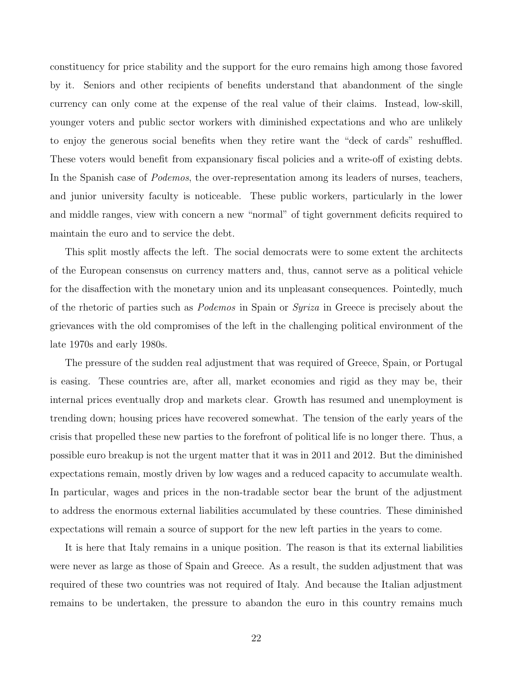constituency for price stability and the support for the euro remains high among those favored by it. Seniors and other recipients of benefits understand that abandonment of the single currency can only come at the expense of the real value of their claims. Instead, low-skill, younger voters and public sector workers with diminished expectations and who are unlikely to enjoy the generous social benefits when they retire want the "deck of cards" reshuffled. These voters would benefit from expansionary fiscal policies and a write-off of existing debts. In the Spanish case of *Podemos*, the over-representation among its leaders of nurses, teachers, and junior university faculty is noticeable. These public workers, particularly in the lower and middle ranges, view with concern a new "normal" of tight government deficits required to maintain the euro and to service the debt.

This split mostly affects the left. The social democrats were to some extent the architects of the European consensus on currency matters and, thus, cannot serve as a political vehicle for the disaffection with the monetary union and its unpleasant consequences. Pointedly, much of the rhetoric of parties such as Podemos in Spain or Syriza in Greece is precisely about the grievances with the old compromises of the left in the challenging political environment of the late 1970s and early 1980s.

The pressure of the sudden real adjustment that was required of Greece, Spain, or Portugal is easing. These countries are, after all, market economies and rigid as they may be, their internal prices eventually drop and markets clear. Growth has resumed and unemployment is trending down; housing prices have recovered somewhat. The tension of the early years of the crisis that propelled these new parties to the forefront of political life is no longer there. Thus, a possible euro breakup is not the urgent matter that it was in 2011 and 2012. But the diminished expectations remain, mostly driven by low wages and a reduced capacity to accumulate wealth. In particular, wages and prices in the non-tradable sector bear the brunt of the adjustment to address the enormous external liabilities accumulated by these countries. These diminished expectations will remain a source of support for the new left parties in the years to come.

It is here that Italy remains in a unique position. The reason is that its external liabilities were never as large as those of Spain and Greece. As a result, the sudden adjustment that was required of these two countries was not required of Italy. And because the Italian adjustment remains to be undertaken, the pressure to abandon the euro in this country remains much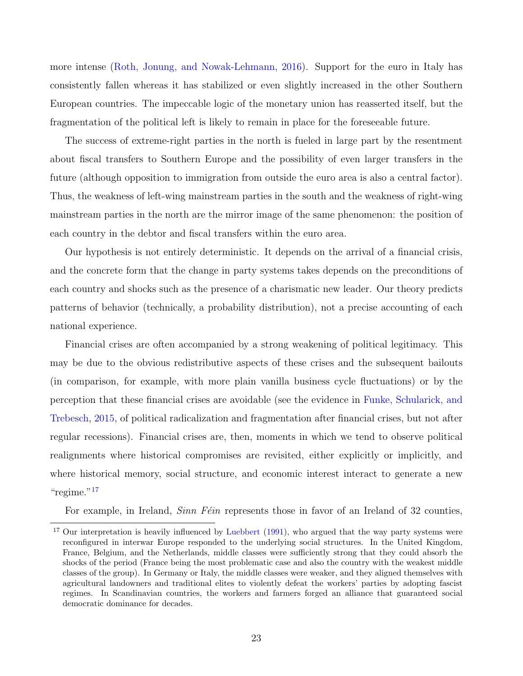more intense [\(Roth, Jonung, and Nowak-Lehmann,](#page-26-6) [2016\)](#page-26-6). Support for the euro in Italy has consistently fallen whereas it has stabilized or even slightly increased in the other Southern European countries. The impeccable logic of the monetary union has reasserted itself, but the fragmentation of the political left is likely to remain in place for the foreseeable future.

The success of extreme-right parties in the north is fueled in large part by the resentment about fiscal transfers to Southern Europe and the possibility of even larger transfers in the future (although opposition to immigration from outside the euro area is also a central factor). Thus, the weakness of left-wing mainstream parties in the south and the weakness of right-wing mainstream parties in the north are the mirror image of the same phenomenon: the position of each country in the debtor and fiscal transfers within the euro area.

Our hypothesis is not entirely deterministic. It depends on the arrival of a financial crisis, and the concrete form that the change in party systems takes depends on the preconditions of each country and shocks such as the presence of a charismatic new leader. Our theory predicts patterns of behavior (technically, a probability distribution), not a precise accounting of each national experience.

Financial crises are often accompanied by a strong weakening of political legitimacy. This may be due to the obvious redistributive aspects of these crises and the subsequent bailouts (in comparison, for example, with more plain vanilla business cycle fluctuations) or by the perception that these financial crises are avoidable (see the evidence in [Funke, Schularick, and](#page-25-10) [Trebesch,](#page-25-10) [2015,](#page-25-10) of political radicalization and fragmentation after financial crises, but not after regular recessions). Financial crises are, then, moments in which we tend to observe political realignments where historical compromises are revisited, either explicitly or implicitly, and where historical memory, social structure, and economic interest interact to generate a new " $regime."17$  $regime."17$ 

For example, in Ireland,  $Sinn F\acute{e}in$  represents those in favor of an Ireland of 32 counties,

<span id="page-22-0"></span><sup>&</sup>lt;sup>17</sup> Our interpretation is heavily influenced by [Luebbert](#page-26-7) [\(1991\)](#page-26-7), who argued that the way party systems were reconfigured in interwar Europe responded to the underlying social structures. In the United Kingdom, France, Belgium, and the Netherlands, middle classes were sufficiently strong that they could absorb the shocks of the period (France being the most problematic case and also the country with the weakest middle classes of the group). In Germany or Italy, the middle classes were weaker, and they aligned themselves with agricultural landowners and traditional elites to violently defeat the workers' parties by adopting fascist regimes. In Scandinavian countries, the workers and farmers forged an alliance that guaranteed social democratic dominance for decades.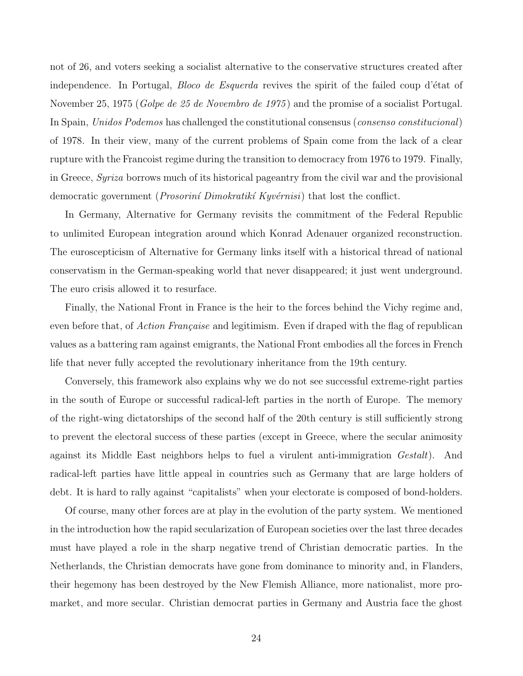not of 26, and voters seeking a socialist alternative to the conservative structures created after independence. In Portugal, *Bloco de Esquerda* revives the spirit of the failed coup d'état of November 25, 1975 (*Golpe de 25 de Novembro de 1975*) and the promise of a socialist Portugal. In Spain, Unidos Podemos has challenged the constitutional consensus (consenso constitucional) of 1978. In their view, many of the current problems of Spain come from the lack of a clear rupture with the Francoist regime during the transition to democracy from 1976 to 1979. Finally, in Greece, Syriza borrows much of its historical pageantry from the civil war and the provisional democratic government (*Prosoriní Dimokratikí Kyvérnisi*) that lost the conflict.

In Germany, Alternative for Germany revisits the commitment of the Federal Republic to unlimited European integration around which Konrad Adenauer organized reconstruction. The euroscepticism of Alternative for Germany links itself with a historical thread of national conservatism in the German-speaking world that never disappeared; it just went underground. The euro crisis allowed it to resurface.

Finally, the National Front in France is the heir to the forces behind the Vichy regime and, even before that, of *Action Française* and legitimism. Even if draped with the flag of republican values as a battering ram against emigrants, the National Front embodies all the forces in French life that never fully accepted the revolutionary inheritance from the 19th century.

Conversely, this framework also explains why we do not see successful extreme-right parties in the south of Europe or successful radical-left parties in the north of Europe. The memory of the right-wing dictatorships of the second half of the 20th century is still sufficiently strong to prevent the electoral success of these parties (except in Greece, where the secular animosity against its Middle East neighbors helps to fuel a virulent anti-immigration Gestalt). And radical-left parties have little appeal in countries such as Germany that are large holders of debt. It is hard to rally against "capitalists" when your electorate is composed of bond-holders.

Of course, many other forces are at play in the evolution of the party system. We mentioned in the introduction how the rapid secularization of European societies over the last three decades must have played a role in the sharp negative trend of Christian democratic parties. In the Netherlands, the Christian democrats have gone from dominance to minority and, in Flanders, their hegemony has been destroyed by the New Flemish Alliance, more nationalist, more promarket, and more secular. Christian democrat parties in Germany and Austria face the ghost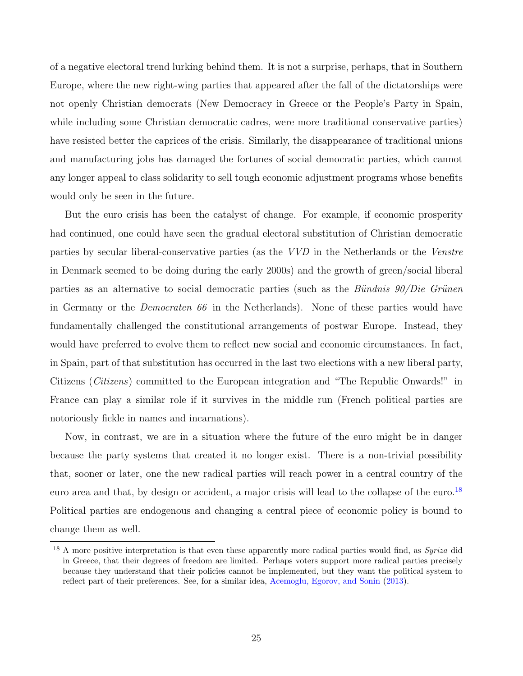of a negative electoral trend lurking behind them. It is not a surprise, perhaps, that in Southern Europe, where the new right-wing parties that appeared after the fall of the dictatorships were not openly Christian democrats (New Democracy in Greece or the People's Party in Spain, while including some Christian democratic cadres, were more traditional conservative parties) have resisted better the caprices of the crisis. Similarly, the disappearance of traditional unions and manufacturing jobs has damaged the fortunes of social democratic parties, which cannot any longer appeal to class solidarity to sell tough economic adjustment programs whose benefits would only be seen in the future.

But the euro crisis has been the catalyst of change. For example, if economic prosperity had continued, one could have seen the gradual electoral substitution of Christian democratic parties by secular liberal-conservative parties (as the VVD in the Netherlands or the Venstre in Denmark seemed to be doing during the early 2000s) and the growth of green/social liberal parties as an alternative to social democratic parties (such as the Bündnis  $90/Die$  Grünen in Germany or the Democraten 66 in the Netherlands). None of these parties would have fundamentally challenged the constitutional arrangements of postwar Europe. Instead, they would have preferred to evolve them to reflect new social and economic circumstances. In fact, in Spain, part of that substitution has occurred in the last two elections with a new liberal party, Citizens (Citizens) committed to the European integration and "The Republic Onwards!" in France can play a similar role if it survives in the middle run (French political parties are notoriously fickle in names and incarnations).

Now, in contrast, we are in a situation where the future of the euro might be in danger because the party systems that created it no longer exist. There is a non-trivial possibility that, sooner or later, one the new radical parties will reach power in a central country of the euro area and that, by design or accident, a major crisis will lead to the collapse of the euro.<sup>[18](#page-24-0)</sup> Political parties are endogenous and changing a central piece of economic policy is bound to change them as well.

<span id="page-24-0"></span><sup>&</sup>lt;sup>18</sup> A more positive interpretation is that even these apparently more radical parties would find, as Syriza did in Greece, that their degrees of freedom are limited. Perhaps voters support more radical parties precisely because they understand that their policies cannot be implemented, but they want the political system to reflect part of their preferences. See, for a similar idea, [Acemoglu, Egorov, and Sonin](#page-25-11) [\(2013\)](#page-25-11).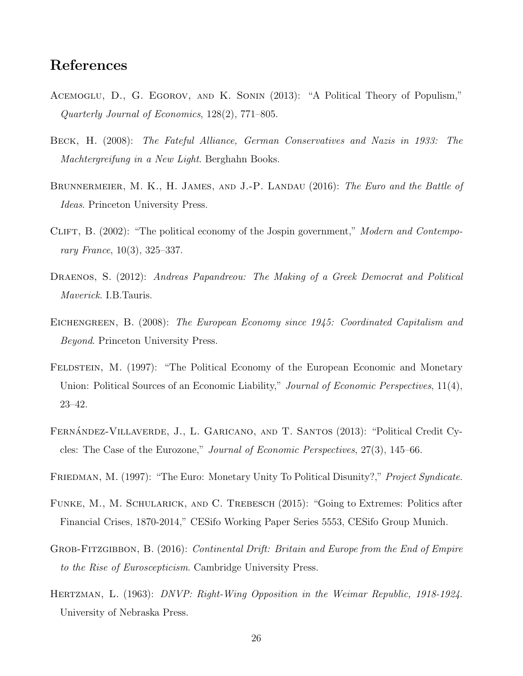# References

- <span id="page-25-11"></span>Acemoglu, D., G. Egorov, and K. Sonin (2013): "A Political Theory of Populism," Quarterly Journal of Economics, 128(2), 771–805.
- <span id="page-25-1"></span>Beck, H. (2008): The Fateful Alliance, German Conservatives and Nazis in 1933: The Machtergreifung in a New Light. Berghahn Books.
- <span id="page-25-6"></span>BRUNNERMEIER, M. K., H. JAMES, AND J.-P. LANDAU (2016): The Euro and the Battle of Ideas. Princeton University Press.
- <span id="page-25-5"></span>CLIFT, B. (2002): "The political economy of the Jospin government," Modern and Contemporary France, 10(3), 325–337.
- <span id="page-25-4"></span>DRAENOS, S. (2012): Andreas Papandreou: The Making of a Greek Democrat and Political Maverick. I.B.Tauris.
- <span id="page-25-2"></span>EICHENGREEN, B. (2008): The European Economy since 1945: Coordinated Capitalism and Beyond. Princeton University Press.
- <span id="page-25-8"></span>FELDSTEIN, M. (1997): "The Political Economy of the European Economic and Monetary Union: Political Sources of an Economic Liability," Journal of Economic Perspectives, 11(4), 23–42.
- <span id="page-25-7"></span>FERNÁNDEZ-VILLAVERDE, J., L. GARICANO, AND T. SANTOS (2013): "Political Credit Cycles: The Case of the Eurozone," Journal of Economic Perspectives, 27(3), 145–66.
- <span id="page-25-9"></span>FRIEDMAN, M. (1997): "The Euro: Monetary Unity To Political Disunity?," Project Syndicate.
- <span id="page-25-10"></span>Funke, M., M. Schularick, and C. Trebesch (2015): "Going to Extremes: Politics after Financial Crises, 1870-2014," CESifo Working Paper Series 5553, CESifo Group Munich.
- <span id="page-25-3"></span>GROB-FITZGIBBON, B. (2016): Continental Drift: Britain and Europe from the End of Empire to the Rise of Euroscepticism. Cambridge University Press.
- <span id="page-25-0"></span>HERTZMAN, L. (1963): DNVP: Right-Wing Opposition in the Weimar Republic, 1918-1924. University of Nebraska Press.